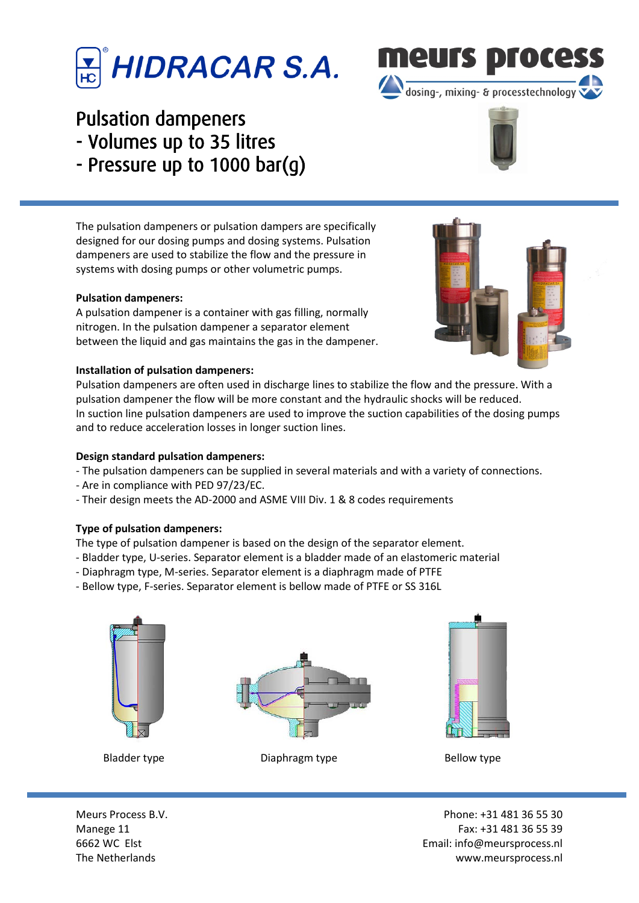### ſ i I

# Pulsation dampeners

- Volumes up to 35 litres
- Pressure up to 1000 bar(g)

The pulsation dampeners or pulsation dampers are specifically designed for our dosing pumps and dosing systems. Pulsation dampeners are used to stabilize the flow and the pressure in systems with dosing pumps or other volumetric pumps.

### **Pulsation dampeners:**

A pulsation dampener is a container with gas filling, normally nitrogen. In the pulsation dampener a separator element between the liquid and gas maintains the gas in the dampener.

#### **Installation of pulsation dampeners:**

Pulsation dampeners are often used in discharge lines to stabilize the flow and the pressure. With a pulsation dampener the flow will be more constant and the hydraulic shocks will be reduced. In suction line pulsation dampeners are used to improve the suction capabilities of the dosing pumps and to reduce acceleration losses in longer suction lines.

#### **Design standard pulsation dampeners:**

- The pulsation dampeners can be supplied in several materials and with a variety of connections.
- Are in compliance with PED 97/23/EC.
- Their design meets the AD-2000 and ASME VIII Div. 1 & 8 codes requirements

### **Type of pulsation dampeners:**

- The type of pulsation dampener is based on the design of the separator element.
- Bladder type, U-series. Separator element is a bladder made of an elastomeric material
- Diaphragm type, M-series. Separator element is a diaphragm made of PTFE
- Bellow type, F-series. Separator element is bellow made of PTFE or SS 316L







Bladder type **Bladder type Diaphragm type Bellow type Bellow type** 

Meurs Process B.V. **Phone: +31 481 36 55 30** Manege 11 **Fax: +31 481 36 55 39** 6662 WC Elst Email: info@meursprocess.nl The Netherlands www.meursprocess.nl







dosing-, mixing- & processtechnology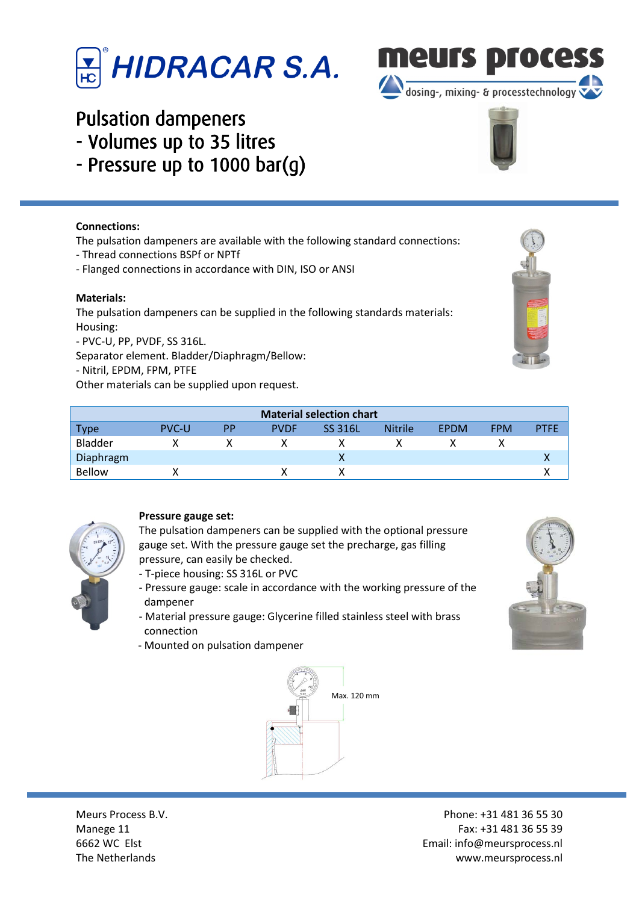

## Pulsation dampeners

- Volumes up to 35 litres
- Pressure up to 1000 bar(g)

### **Connections:**

The pulsation dampeners are available with the following standard connections:

- Thread connections BSPf or NPTf
- Flanged connections in accordance with DIN, ISO or ANSI

#### **Materials:**

The pulsation dampeners can be supplied in the following standards materials: Housing:

- PVC-U, PP, PVDF, SS 316L.

Separator element. Bladder/Diaphragm/Bellow:

- Nitril, EPDM, FPM, PTFE

Other materials can be supplied upon request.

| <b>Material selection chart</b> |              |           |             |                |                |             |            |             |  |  |
|---------------------------------|--------------|-----------|-------------|----------------|----------------|-------------|------------|-------------|--|--|
| <b>Type</b>                     | <b>PVC-U</b> | <b>PP</b> | <b>PVDF</b> | <b>SS 316L</b> | <b>Nitrile</b> | <b>FPDM</b> | <b>FPM</b> | <b>PTFE</b> |  |  |
| Bladder                         |              |           |             |                |                |             |            |             |  |  |
| Diaphragm                       |              |           |             |                |                |             |            |             |  |  |
| <b>Bellow</b>                   |              |           |             |                |                |             |            |             |  |  |



### **Pressure gauge set:**

The pulsation dampeners can be supplied with the optional pressure gauge set. With the pressure gauge set the precharge, gas filling pressure, can easily be checked.

- T-piece housing: SS 316L or PVC
- Pressure gauge: scale in accordance with the working pressure of the dampener
- Material pressure gauge: Glycerine filled stainless steel with brass connection
- Mounted on pulsation dampener





dosing-, mixing- & processtechnology







Meurs Process B.V. **Phone: +31 481 36 55 30** Manege 11 **Fax: +31 481 36 55 39** 6662 WC Elst Email: info@meursprocess.nl The Netherlands www.meursprocess.nl